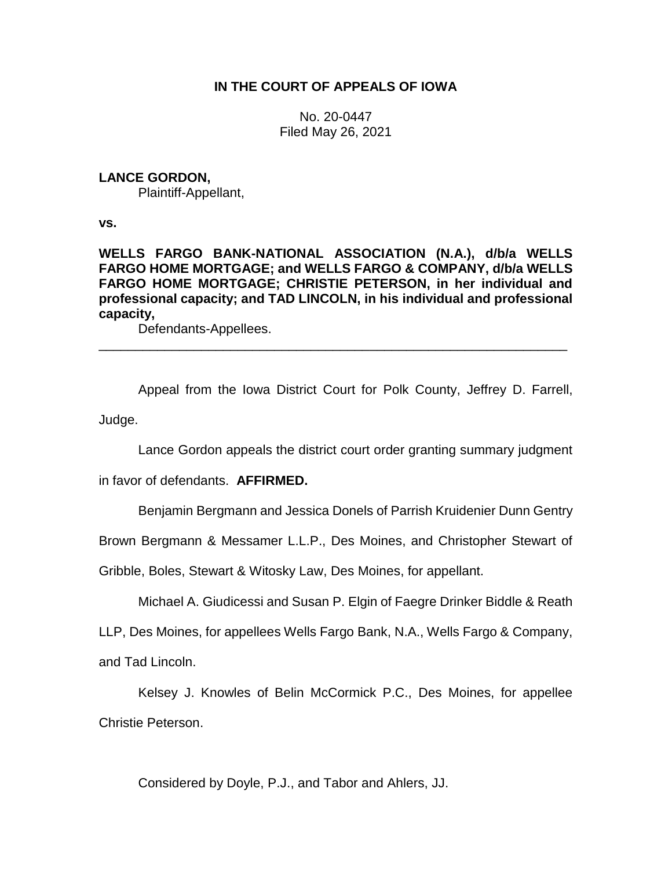# **IN THE COURT OF APPEALS OF IOWA**

No. 20-0447 Filed May 26, 2021

# **LANCE GORDON,**

Plaintiff-Appellant,

**vs.**

**WELLS FARGO BANK-NATIONAL ASSOCIATION (N.A.), d/b/a WELLS FARGO HOME MORTGAGE; and WELLS FARGO & COMPANY, d/b/a WELLS FARGO HOME MORTGAGE; CHRISTIE PETERSON, in her individual and professional capacity; and TAD LINCOLN, in his individual and professional capacity,**

Defendants-Appellees.

Appeal from the Iowa District Court for Polk County, Jeffrey D. Farrell, Judge.

\_\_\_\_\_\_\_\_\_\_\_\_\_\_\_\_\_\_\_\_\_\_\_\_\_\_\_\_\_\_\_\_\_\_\_\_\_\_\_\_\_\_\_\_\_\_\_\_\_\_\_\_\_\_\_\_\_\_\_\_\_\_\_\_

Lance Gordon appeals the district court order granting summary judgment

in favor of defendants. **AFFIRMED.**

Benjamin Bergmann and Jessica Donels of Parrish Kruidenier Dunn Gentry

Brown Bergmann & Messamer L.L.P., Des Moines, and Christopher Stewart of

Gribble, Boles, Stewart & Witosky Law, Des Moines, for appellant.

Michael A. Giudicessi and Susan P. Elgin of Faegre Drinker Biddle & Reath

LLP, Des Moines, for appellees Wells Fargo Bank, N.A., Wells Fargo & Company,

and Tad Lincoln.

Kelsey J. Knowles of Belin McCormick P.C., Des Moines, for appellee Christie Peterson.

Considered by Doyle, P.J., and Tabor and Ahlers, JJ.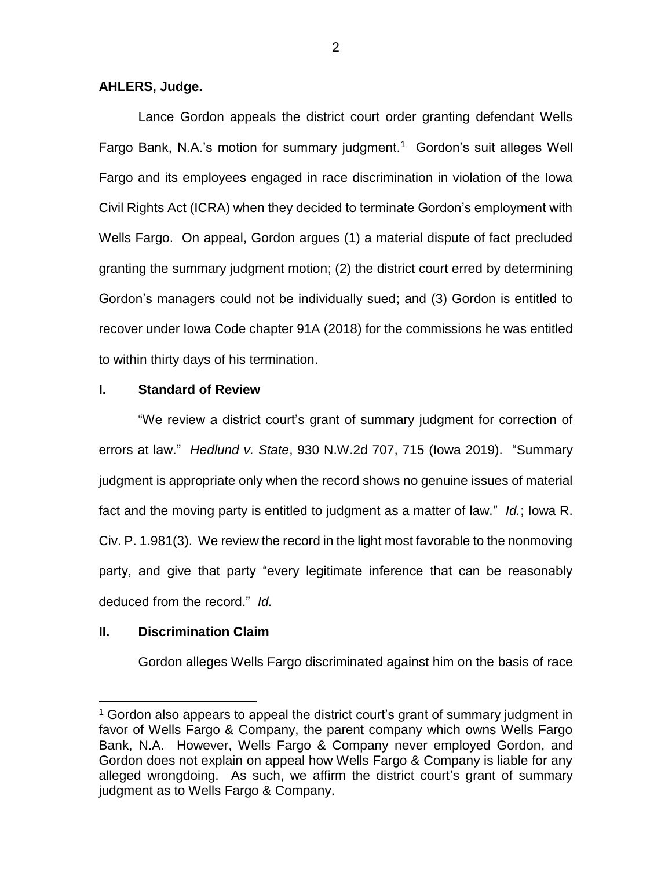## **AHLERS, Judge.**

Lance Gordon appeals the district court order granting defendant Wells Fargo Bank, N.A.'s motion for summary judgment.<sup>1</sup> Gordon's suit alleges Well Fargo and its employees engaged in race discrimination in violation of the Iowa Civil Rights Act (ICRA) when they decided to terminate Gordon's employment with Wells Fargo. On appeal, Gordon argues (1) a material dispute of fact precluded granting the summary judgment motion; (2) the district court erred by determining Gordon's managers could not be individually sued; and (3) Gordon is entitled to recover under Iowa Code chapter 91A (2018) for the commissions he was entitled to within thirty days of his termination.

## **I. Standard of Review**

"We review a district court's grant of summary judgment for correction of errors at law." *Hedlund v. State*, 930 N.W.2d 707, 715 (Iowa 2019). "Summary judgment is appropriate only when the record shows no genuine issues of material fact and the moving party is entitled to judgment as a matter of law." *Id.*; Iowa R. Civ. P. 1.981(3). We review the record in the light most favorable to the nonmoving party, and give that party "every legitimate inference that can be reasonably deduced from the record." *Id.*

## **II. Discrimination Claim**

 $\overline{a}$ 

Gordon alleges Wells Fargo discriminated against him on the basis of race

<sup>&</sup>lt;sup>1</sup> Gordon also appears to appeal the district court's grant of summary judgment in favor of Wells Fargo & Company, the parent company which owns Wells Fargo Bank, N.A. However, Wells Fargo & Company never employed Gordon, and Gordon does not explain on appeal how Wells Fargo & Company is liable for any alleged wrongdoing. As such, we affirm the district court's grant of summary judgment as to Wells Fargo & Company.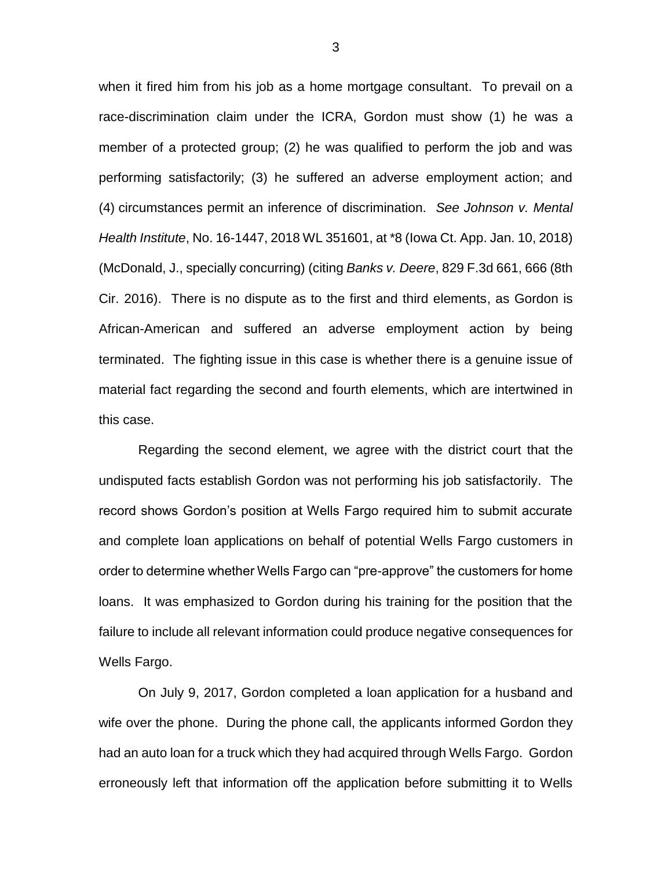when it fired him from his job as a home mortgage consultant. To prevail on a race-discrimination claim under the ICRA, Gordon must show (1) he was a member of a protected group; (2) he was qualified to perform the job and was performing satisfactorily; (3) he suffered an adverse employment action; and (4) circumstances permit an inference of discrimination. *See Johnson v. Mental Health Institute*, No. 16-1447, 2018 WL 351601, at \*8 (Iowa Ct. App. Jan. 10, 2018) (McDonald, J., specially concurring) (citing *Banks v. Deere*, 829 F.3d 661, 666 (8th Cir. 2016). There is no dispute as to the first and third elements, as Gordon is African-American and suffered an adverse employment action by being terminated. The fighting issue in this case is whether there is a genuine issue of material fact regarding the second and fourth elements, which are intertwined in this case.

Regarding the second element, we agree with the district court that the undisputed facts establish Gordon was not performing his job satisfactorily. The record shows Gordon's position at Wells Fargo required him to submit accurate and complete loan applications on behalf of potential Wells Fargo customers in order to determine whether Wells Fargo can "pre-approve" the customers for home loans. It was emphasized to Gordon during his training for the position that the failure to include all relevant information could produce negative consequences for Wells Fargo.

On July 9, 2017, Gordon completed a loan application for a husband and wife over the phone. During the phone call, the applicants informed Gordon they had an auto loan for a truck which they had acquired through Wells Fargo. Gordon erroneously left that information off the application before submitting it to Wells

3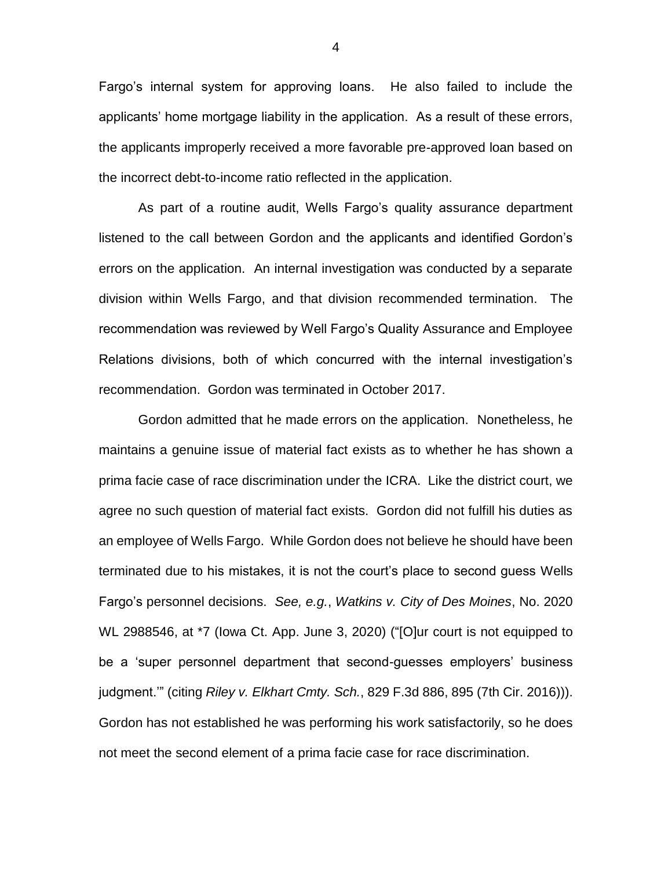Fargo's internal system for approving loans. He also failed to include the applicants' home mortgage liability in the application. As a result of these errors, the applicants improperly received a more favorable pre-approved loan based on the incorrect debt-to-income ratio reflected in the application.

As part of a routine audit, Wells Fargo's quality assurance department listened to the call between Gordon and the applicants and identified Gordon's errors on the application. An internal investigation was conducted by a separate division within Wells Fargo, and that division recommended termination. The recommendation was reviewed by Well Fargo's Quality Assurance and Employee Relations divisions, both of which concurred with the internal investigation's recommendation. Gordon was terminated in October 2017.

Gordon admitted that he made errors on the application. Nonetheless, he maintains a genuine issue of material fact exists as to whether he has shown a prima facie case of race discrimination under the ICRA. Like the district court, we agree no such question of material fact exists. Gordon did not fulfill his duties as an employee of Wells Fargo. While Gordon does not believe he should have been terminated due to his mistakes, it is not the court's place to second guess Wells Fargo's personnel decisions. *See, e.g.*, *Watkins v. City of Des Moines*, No. 2020 WL 2988546, at \*7 (Iowa Ct. App. June 3, 2020) ("[O]ur court is not equipped to be a 'super personnel department that second-guesses employers' business judgment.'" (citing *Riley v. Elkhart Cmty. Sch.*, 829 F.3d 886, 895 (7th Cir. 2016))). Gordon has not established he was performing his work satisfactorily, so he does not meet the second element of a prima facie case for race discrimination.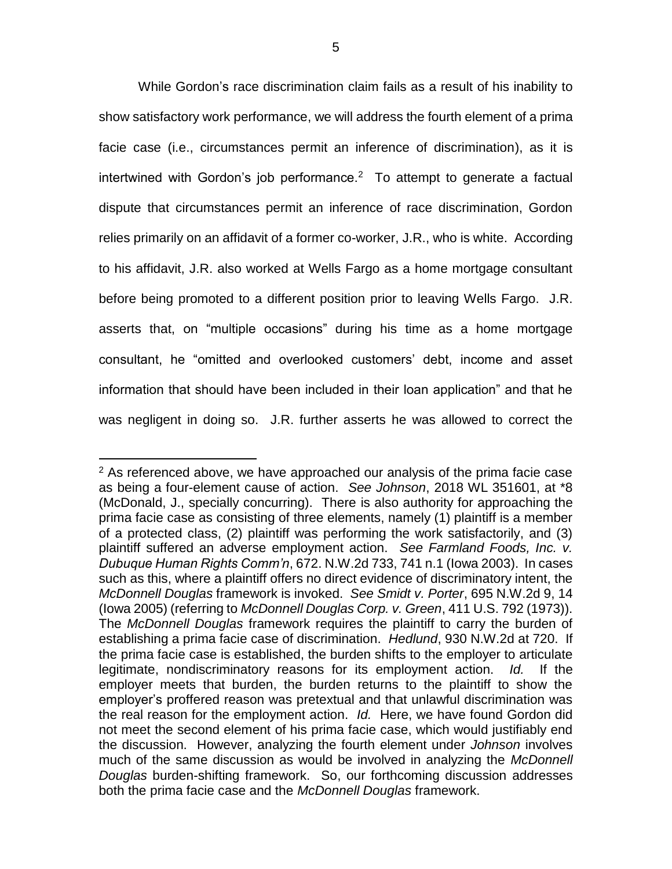While Gordon's race discrimination claim fails as a result of his inability to show satisfactory work performance, we will address the fourth element of a prima facie case (i.e., circumstances permit an inference of discrimination), as it is intertwined with Gordon's job performance.<sup>2</sup> To attempt to generate a factual dispute that circumstances permit an inference of race discrimination, Gordon relies primarily on an affidavit of a former co-worker, J.R., who is white. According to his affidavit, J.R. also worked at Wells Fargo as a home mortgage consultant before being promoted to a different position prior to leaving Wells Fargo. J.R. asserts that, on "multiple occasions" during his time as a home mortgage consultant, he "omitted and overlooked customers' debt, income and asset information that should have been included in their loan application" and that he was negligent in doing so. J.R. further asserts he was allowed to correct the

 $\overline{a}$ 

 $2$  As referenced above, we have approached our analysis of the prima facie case as being a four-element cause of action. *See Johnson*, 2018 WL 351601, at \*8 (McDonald, J., specially concurring). There is also authority for approaching the prima facie case as consisting of three elements, namely (1) plaintiff is a member of a protected class, (2) plaintiff was performing the work satisfactorily, and (3) plaintiff suffered an adverse employment action. *See Farmland Foods, Inc. v. Dubuque Human Rights Comm'n*, 672. N.W.2d 733, 741 n.1 (Iowa 2003). In cases such as this, where a plaintiff offers no direct evidence of discriminatory intent, the *McDonnell Douglas* framework is invoked. *See Smidt v. Porter*, 695 N.W.2d 9, 14 (Iowa 2005) (referring to *McDonnell Douglas Corp. v. Green*, 411 U.S. 792 (1973)). The *McDonnell Douglas* framework requires the plaintiff to carry the burden of establishing a prima facie case of discrimination. *Hedlund*, 930 N.W.2d at 720. If the prima facie case is established, the burden shifts to the employer to articulate legitimate, nondiscriminatory reasons for its employment action. *Id.* If the employer meets that burden, the burden returns to the plaintiff to show the employer's proffered reason was pretextual and that unlawful discrimination was the real reason for the employment action. *Id.* Here, we have found Gordon did not meet the second element of his prima facie case, which would justifiably end the discussion. However, analyzing the fourth element under *Johnson* involves much of the same discussion as would be involved in analyzing the *McDonnell Douglas* burden-shifting framework. So, our forthcoming discussion addresses both the prima facie case and the *McDonnell Douglas* framework.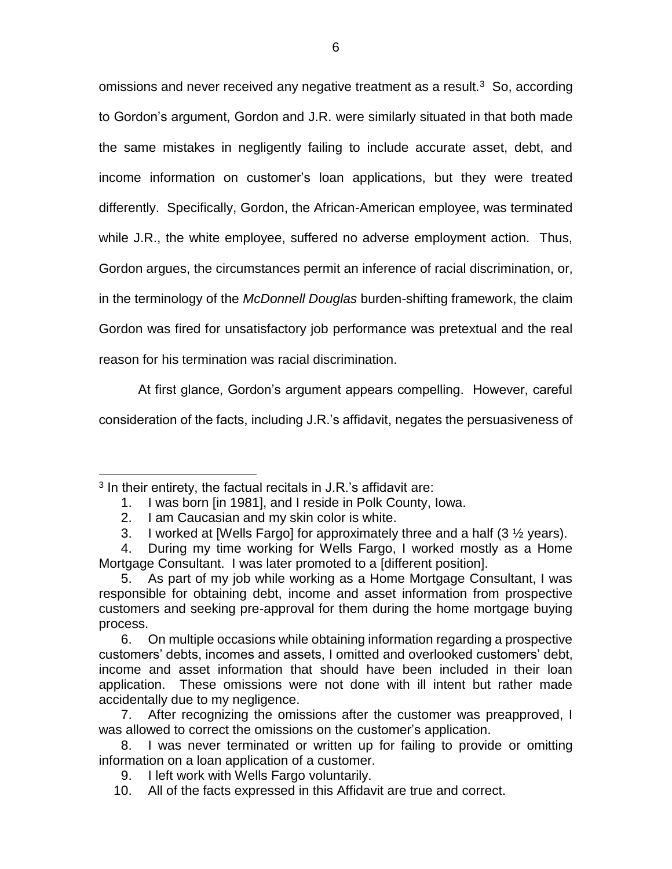omissions and never received any negative treatment as a result. $3$  So, according to Gordon's argument, Gordon and J.R. were similarly situated in that both made the same mistakes in negligently failing to include accurate asset, debt, and income information on customer's loan applications, but they were treated differently. Specifically, Gordon, the African-American employee, was terminated while J.R., the white employee, suffered no adverse employment action. Thus, Gordon argues, the circumstances permit an inference of racial discrimination, or, in the terminology of the *McDonnell Douglas* burden-shifting framework, the claim Gordon was fired for unsatisfactory job performance was pretextual and the real

reason for his termination was racial discrimination.

At first glance, Gordon's argument appears compelling. However, careful

consideration of the facts, including J.R.'s affidavit, negates the persuasiveness of

 $\overline{a}$  $3$  In their entirety, the factual recitals in J.R.'s affidavit are:

<sup>1.</sup> I was born [in 1981], and I reside in Polk County, Iowa.

<sup>2.</sup> I am Caucasian and my skin color is white.

<sup>3.</sup> I worked at [Wells Fargo] for approximately three and a half (3 ½ years).

<sup>4.</sup> During my time working for Wells Fargo, I worked mostly as a Home Mortgage Consultant. I was later promoted to a [different position].

<sup>5.</sup> As part of my job while working as a Home Mortgage Consultant, I was responsible for obtaining debt, income and asset information from prospective customers and seeking pre-approval for them during the home mortgage buying process.

<sup>6.</sup> On multiple occasions while obtaining information regarding a prospective customers' debts, incomes and assets, I omitted and overlooked customers' debt, income and asset information that should have been included in their loan application. These omissions were not done with ill intent but rather made accidentally due to my negligence.

<sup>7.</sup> After recognizing the omissions after the customer was preapproved, I was allowed to correct the omissions on the customer's application.

<sup>8.</sup> I was never terminated or written up for failing to provide or omitting information on a loan application of a customer.

<sup>9.</sup> I left work with Wells Fargo voluntarily.

<sup>10.</sup> All of the facts expressed in this Affidavit are true and correct.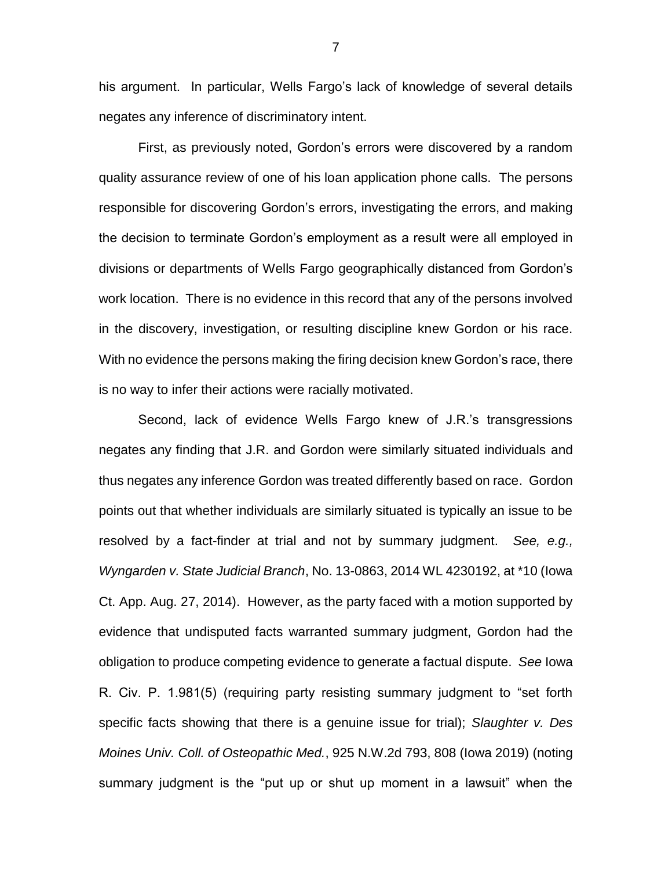his argument. In particular, Wells Fargo's lack of knowledge of several details negates any inference of discriminatory intent.

First, as previously noted, Gordon's errors were discovered by a random quality assurance review of one of his loan application phone calls. The persons responsible for discovering Gordon's errors, investigating the errors, and making the decision to terminate Gordon's employment as a result were all employed in divisions or departments of Wells Fargo geographically distanced from Gordon's work location. There is no evidence in this record that any of the persons involved in the discovery, investigation, or resulting discipline knew Gordon or his race. With no evidence the persons making the firing decision knew Gordon's race, there is no way to infer their actions were racially motivated.

Second, lack of evidence Wells Fargo knew of J.R.'s transgressions negates any finding that J.R. and Gordon were similarly situated individuals and thus negates any inference Gordon was treated differently based on race. Gordon points out that whether individuals are similarly situated is typically an issue to be resolved by a fact-finder at trial and not by summary judgment. *See, e.g., Wyngarden v. State Judicial Branch*, No. 13-0863, 2014 WL 4230192, at \*10 (Iowa Ct. App. Aug. 27, 2014). However, as the party faced with a motion supported by evidence that undisputed facts warranted summary judgment, Gordon had the obligation to produce competing evidence to generate a factual dispute. *See* Iowa R. Civ. P. 1.981(5) (requiring party resisting summary judgment to "set forth specific facts showing that there is a genuine issue for trial); *Slaughter v. Des Moines Univ. Coll. of Osteopathic Med.*, 925 N.W.2d 793, 808 (Iowa 2019) (noting summary judgment is the "put up or shut up moment in a lawsuit" when the

7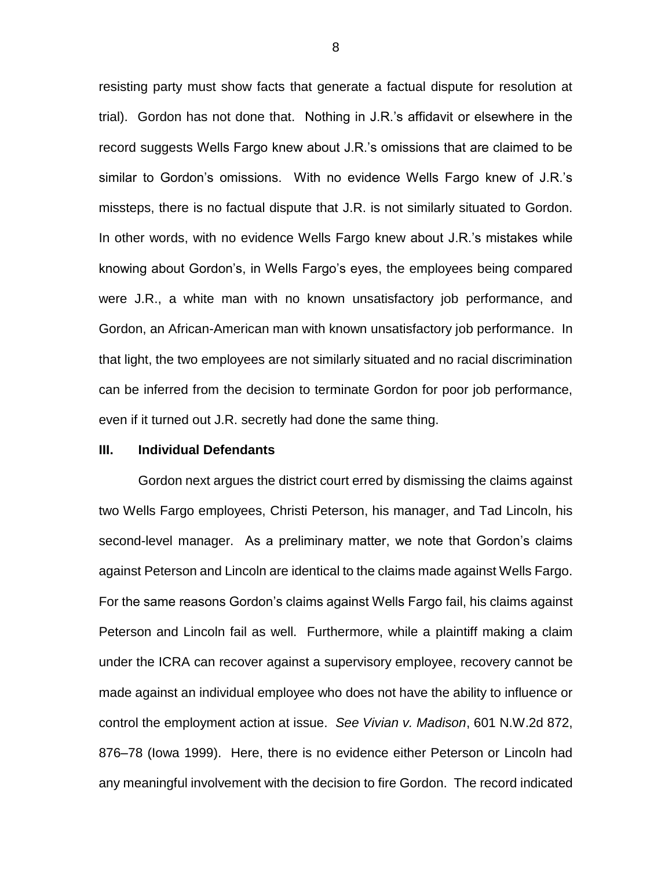resisting party must show facts that generate a factual dispute for resolution at trial). Gordon has not done that. Nothing in J.R.'s affidavit or elsewhere in the record suggests Wells Fargo knew about J.R.'s omissions that are claimed to be similar to Gordon's omissions. With no evidence Wells Fargo knew of J.R.'s missteps, there is no factual dispute that J.R. is not similarly situated to Gordon. In other words, with no evidence Wells Fargo knew about J.R.'s mistakes while knowing about Gordon's, in Wells Fargo's eyes, the employees being compared were J.R., a white man with no known unsatisfactory job performance, and Gordon, an African-American man with known unsatisfactory job performance. In that light, the two employees are not similarly situated and no racial discrimination can be inferred from the decision to terminate Gordon for poor job performance, even if it turned out J.R. secretly had done the same thing.

### **III. Individual Defendants**

Gordon next argues the district court erred by dismissing the claims against two Wells Fargo employees, Christi Peterson, his manager, and Tad Lincoln, his second-level manager. As a preliminary matter, we note that Gordon's claims against Peterson and Lincoln are identical to the claims made against Wells Fargo. For the same reasons Gordon's claims against Wells Fargo fail, his claims against Peterson and Lincoln fail as well. Furthermore, while a plaintiff making a claim under the ICRA can recover against a supervisory employee, recovery cannot be made against an individual employee who does not have the ability to influence or control the employment action at issue. *See Vivian v. Madison*, 601 N.W.2d 872, 876–78 (Iowa 1999). Here, there is no evidence either Peterson or Lincoln had any meaningful involvement with the decision to fire Gordon. The record indicated

8